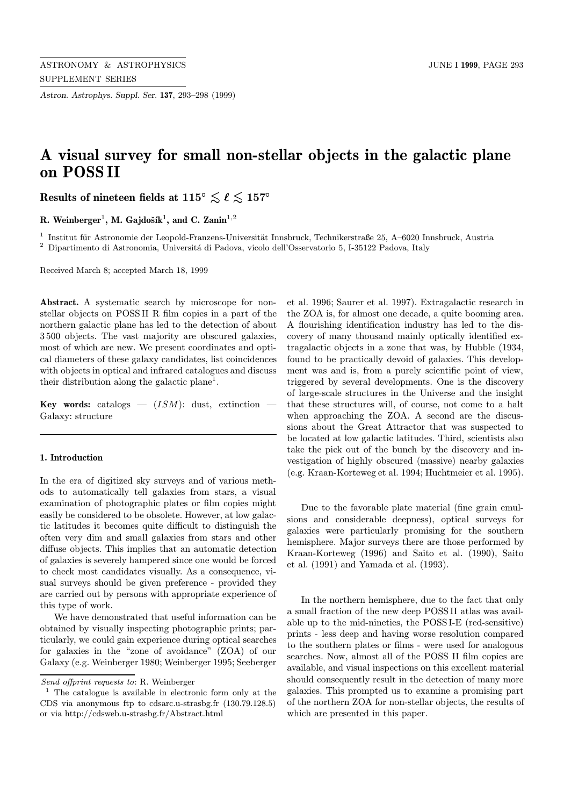Astron. Astrophys. Suppl. Ser. 137, 293–298 (1999)

# A visual survey for small non-stellar objects in the galactic plane on POSS II

Results of nineteen fields at  $115^{\circ} \lesssim \ell \lesssim 157^{\circ}$ 

R. Weinberger<sup>1</sup>, M. Gajdošík<sup>1</sup>, and C. Zanin<sup>1,2</sup>

 $1$  Institut für Astronomie der Leopold-Franzens-Universität Innsbruck, Technikerstraße 25, A–6020 Innsbruck, Austria <sup>2</sup> Dipartimento di Astronomia, Università di Padova, vicolo dell'Osservatorio 5, I-35122 Padova, Italy

Received March 8; accepted March 18, 1999

Abstract. A systematic search by microscope for nonstellar objects on POSS II R film copies in a part of the northern galactic plane has led to the detection of about 3 500 objects. The vast majority are obscured galaxies, most of which are new. We present coordinates and optical diameters of these galaxy candidates, list coincidences with objects in optical and infrared catalogues and discuss their distribution along the galactic plane<sup>1</sup>.

**Key words:** catalogs  $-$  (*ISM*): dust, extinction  $-$ Galaxy: structure

# 1. Introduction

In the era of digitized sky surveys and of various methods to automatically tell galaxies from stars, a visual examination of photographic plates or film copies might easily be considered to be obsolete. However, at low galactic latitudes it becomes quite difficult to distinguish the often very dim and small galaxies from stars and other diffuse objects. This implies that an automatic detection of galaxies is severely hampered since one would be forced to check most candidates visually. As a consequence, visual surveys should be given preference - provided they are carried out by persons with appropriate experience of this type of work.

We have demonstrated that useful information can be obtained by visually inspecting photographic prints; particularly, we could gain experience during optical searches for galaxies in the "zone of avoidance" (ZOA) of our Galaxy (e.g. Weinberger 1980; Weinberger 1995; Seeberger

et al. 1996; Saurer et al. 1997). Extragalactic research in the ZOA is, for almost one decade, a quite booming area. A flourishing identification industry has led to the discovery of many thousand mainly optically identified extragalactic objects in a zone that was, by Hubble (1934, found to be practically devoid of galaxies. This development was and is, from a purely scientific point of view, triggered by several developments. One is the discovery of large-scale structures in the Universe and the insight that these structures will, of course, not come to a halt when approaching the ZOA. A second are the discussions about the Great Attractor that was suspected to be located at low galactic latitudes. Third, scientists also take the pick out of the bunch by the discovery and investigation of highly obscured (massive) nearby galaxies (e.g. Kraan-Korteweg et al. 1994; Huchtmeier et al. 1995).

Due to the favorable plate material (fine grain emulsions and considerable deepness), optical surveys for galaxies were particularly promising for the southern hemisphere. Major surveys there are those performed by Kraan-Korteweg (1996) and Saito et al. (1990), Saito et al. (1991) and Yamada et al. (1993).

In the northern hemisphere, due to the fact that only a small fraction of the new deep POSS II atlas was available up to the mid-nineties, the POSS I-E (red-sensitive) prints - less deep and having worse resolution compared to the southern plates or films - were used for analogous searches. Now, almost all of the POSS II film copies are available, and visual inspections on this excellent material should consequently result in the detection of many more galaxies. This prompted us to examine a promising part of the northern ZOA for non-stellar objects, the results of which are presented in this paper.

Send offprint requests to: R. Weinberger

<sup>1</sup> The catalogue is available in electronic form only at the CDS via anonymous ftp to cdsarc.u-strasbg.fr (130.79.128.5) or via http://cdsweb.u-strasbg.fr/Abstract.html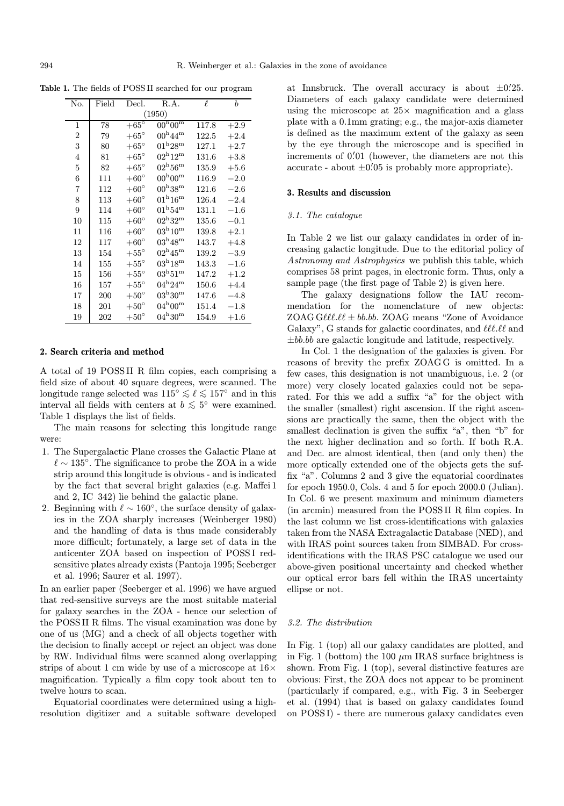Table 1. The fields of POSS II searched for our program

| No. | Field  | Decl.         | R.A.                              | $\ell$ | $\boldsymbol{b}$ |  |  |  |  |  |
|-----|--------|---------------|-----------------------------------|--------|------------------|--|--|--|--|--|
|     | (1950) |               |                                   |        |                  |  |  |  |  |  |
| 1   | 78     | $+65^\circ$   | $100^{\rm h} 00^{\rm m}$          | 117.8  | $+2.9$           |  |  |  |  |  |
| 2   | 79     | $+65^{\circ}$ | $100^{\mathrm{h}}44^{\mathrm{m}}$ | 122.5  | $+2.4$           |  |  |  |  |  |
| 3   | 80     | $+65^{\circ}$ | $\rm 01^h 28^m$                   | 127.1  | $+2.7$           |  |  |  |  |  |
| 4   | 81     | $+65^{\circ}$ | $102^{\rm h}12^{\rm m}$           | 131.6  | $+3.8$           |  |  |  |  |  |
| 5   | 82     | $+65^{\circ}$ | $\rm 02^h 56^m$                   | 135.9  | $+5.6$           |  |  |  |  |  |
| 6   | 111    | $+60^{\circ}$ | $100^{\rm h} 00^{\rm m}$          | 116.9  | $-2.0$           |  |  |  |  |  |
| 7   | 112    | $+60^{\circ}$ | $100^{\rm h}38^{\rm m}$           | 121.6  | $-2.6$           |  |  |  |  |  |
| 8   | 113    | $+60^{\circ}$ | $10^{1\mathrm{h}}16^{\mathrm{m}}$ | 126.4  | $-2.4$           |  |  |  |  |  |
| 9   | 114    | $+60^{\circ}$ | $01^{\rm h}54^{\rm m}$            | 131.1  | $-1.6$           |  |  |  |  |  |
| 10  | 115    | $+60^{\circ}$ | $\rm 02^h32^m$                    | 135.6  | $-0.1$           |  |  |  |  |  |
| 11  | 116    | $+60^{\circ}$ | $\rm 03^h 10^m$                   | 139.8  | $+2.1$           |  |  |  |  |  |
| 12  | 117    | $+60^{\circ}$ | $03^{\rm h}48^{\rm m}$            | 143.7  | $+4.8$           |  |  |  |  |  |
| 13  | 154    | $+55^{\circ}$ | $02^{\rm h}45^{\rm m}$            | 139.2  | $-3.9$           |  |  |  |  |  |
| 14  | 155    | $+55^{\circ}$ | $\rm 03^h18^m$                    | 143.3  | $^{-1.6}$        |  |  |  |  |  |
| 15  | 156    | $+55^{\circ}$ | $\rm 03^h51^m$                    | 147.2  | $+1.2$           |  |  |  |  |  |
| 16  | 157    | $+55^{\circ}$ | $04^{\rm h}24^{\rm m}$            | 150.6  | $+4.4$           |  |  |  |  |  |
| 17  | 200    | $+50^{\circ}$ | $\rm 03^h30^m$                    | 147.6  | $-4.8$           |  |  |  |  |  |
| 18  | 201    | $+50^\circ$   | $04^{\rm h}00^{\rm m}$            | 151.4  | $-1.8$           |  |  |  |  |  |
| 19  | 202    | $+50^{\circ}$ | $04^{\rm h}30^{\rm m}$            | 154.9  | $+1.6$           |  |  |  |  |  |

### 2. Search criteria and method

A total of 19 POSS II R film copies, each comprising a field size of about 40 square degrees, were scanned. The longitude range selected was  $115° \le \ell \le 157°$  and in this interval all fields with centers at  $b \lesssim 5^{\circ}$  were examined. Table 1 displays the list of fields.

The main reasons for selecting this longitude range were:

- 1. The Supergalactic Plane crosses the Galactic Plane at  $\ell \sim 135^{\circ}$ . The significance to probe the ZOA in a wide strip around this longitude is obvious - and is indicated by the fact that several bright galaxies (e.g. Maffei 1 and 2, IC 342) lie behind the galactic plane.
- 2. Beginning with  $\ell \sim 160^{\circ}$ , the surface density of galaxies in the ZOA sharply increases (Weinberger 1980) and the handling of data is thus made considerably more difficult; fortunately, a large set of data in the anticenter ZOA based on inspection of POSS I redsensitive plates already exists (Pantoja 1995; Seeberger et al. 1996; Saurer et al. 1997).

In an earlier paper (Seeberger et al. 1996) we have argued that red-sensitive surveys are the most suitable material for galaxy searches in the ZOA - hence our selection of the POSS II R films. The visual examination was done by one of us (MG) and a check of all objects together with the decision to finally accept or reject an object was done by RW. Individual films were scanned along overlapping strips of about 1 cm wide by use of a microscope at  $16\times$ magnification. Typically a film copy took about ten to twelve hours to scan.

Equatorial coordinates were determined using a highresolution digitizer and a suitable software developed

at Innsbruck. The overall accuracy is about  $\pm 0.25$ . Diameters of each galaxy candidate were determined using the microscope at  $25\times$  magnification and a glass plate with a 0.1mm grating; e.g., the major-axis diameter is defined as the maximum extent of the galaxy as seen by the eye through the microscope and is specified in increments of  $0'$ .01 (however, the diameters are not this  $\text{accurate - about } \pm 0.05 \text{ is probably more appropriate}.$ 

# 3. Results and discussion

#### 3.1. The catalogue

In Table 2 we list our galaxy candidates in order of increasing galactic longitude. Due to the editorial policy of Astronomy and Astrophysics we publish this table, which comprises 58 print pages, in electronic form. Thus, only a sample page (the first page of Table 2) is given here.

The galaxy designations follow the IAU recommendation for the nomenclature of new objects: ZOAG G $\ell\ell\ell\ell\ell \pm bb.bb$ . ZOAG means "Zone of Avoidance Galaxy", G stands for galactic coordinates, and  $\ell\ell\ell\ell\ell$  and  $\pm bb.bb$  are galactic longitude and latitude, respectively.

In Col. 1 the designation of the galaxies is given. For reasons of brevity the prefix ZOAG G is omitted. In a few cases, this designation is not unambiguous, i.e. 2 (or more) very closely located galaxies could not be separated. For this we add a suffix "a" for the object with the smaller (smallest) right ascension. If the right ascensions are practically the same, then the object with the smallest declination is given the suffix "a", then "b" for the next higher declination and so forth. If both R.A. and Dec. are almost identical, then (and only then) the more optically extended one of the objects gets the suffix "a". Columns 2 and 3 give the equatorial coordinates for epoch 1950.0, Cols. 4 and 5 for epoch 2000.0 (Julian). In Col. 6 we present maximum and minimum diameters (in arcmin) measured from the POSS II R film copies. In the last column we list cross-identifications with galaxies taken from the NASA Extragalactic Database (NED), and with IRAS point sources taken from SIMBAD. For crossidentifications with the IRAS PSC catalogue we used our above-given positional uncertainty and checked whether our optical error bars fell within the IRAS uncertainty ellipse or not.

#### 3.2. The distribution

In Fig. 1 (top) all our galaxy candidates are plotted, and in Fig. 1 (bottom) the 100  $\mu$ m IRAS surface brightness is shown. From Fig. 1 (top), several distinctive features are obvious: First, the ZOA does not appear to be prominent (particularly if compared, e.g., with Fig. 3 in Seeberger et al. (1994) that is based on galaxy candidates found on POSS I) - there are numerous galaxy candidates even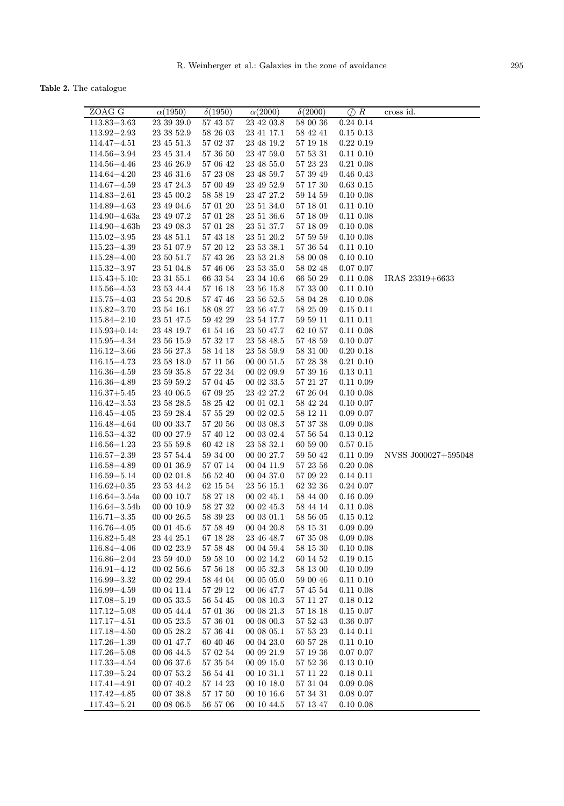Table 2. The catalogue

| ZOAG G                               | $\alpha(1950)$           | $\delta(1950)$       | $\alpha(2000)$           | $\delta(2000)$       | $\oslash$ R            | cross id.           |
|--------------------------------------|--------------------------|----------------------|--------------------------|----------------------|------------------------|---------------------|
| $113.83 - 3.63$                      | 23 39 39.0               | 57 43 57             | 23 42 03.8               | 58 00 36             | 0.24 0.14              |                     |
| $113.92 - 2.93$                      | 23 38 52.9               | 58 26 03             | 23 41 17.1               | 58 42 41             | 0.15 0.13              |                     |
| $114.47 - 4.51$                      | 23 45 51.3               | 57 02 37             | 23 48 19.2               | 57 19 18             | 0.22~0.19              |                     |
| $114.56 - 3.94$                      | 23 45 31.4               | 57 36 50             | 23 47 59.0               | 57 53 31             | $0.11\ 0.10$           |                     |
| $114.56 - 4.46$                      | 23 46 26.9               | 57 06 42             | 23 48 55.0               | 57 23 23             | 0.21 0.08              |                     |
| $114.64 - 4.20$                      | 23 46 31.6               | 57 23 08             | 23 48 59.7               | 57 39 49             | 0.46 0.43              |                     |
| $114.67 - 4.59$                      | 23 47 24.3               | 57 00 49             | 23 49 52.9               | 57 17 30             | 0.63 0.15              |                     |
| $114.83 - 2.61$                      | 23 45 00.2               | 58 58 19             | 23 47 27.2               | 59 14 59             | $0.10\ 0.08$           |                     |
| $114.89 - 4.63$                      | 23 49 04.6               | 57 01 20             | 23 51 34.0               | 57 18 01             | $0.11\ 0.10$           |                     |
| $114.90 - 4.63a$                     | 23 49 07.2               | 57 01 28             | 23 51 36.6               | 57 18 09             | $0.11\ 0.08$           |                     |
| $114.90 - 4.63b$                     | 23 49 08.3               | 57 01 28             | 23 51 37.7               | 57 18 09             | $0.10\ 0.08$           |                     |
| $115.02 - 3.95$                      | 23 48 51.1               | 57 43 18             | 23 51 20.2               | 57 59 59             | $0.10\ 0.08$           |                     |
| $115.23 - 4.39$                      | 23 51 07.9               | 57 20 12             | 23 53 38.1               | 57 36 54             | $0.11\ 0.10$           |                     |
| $115.28 - 4.00$                      | 23 50 51.7               | 57 43 26             | 23 53 21.8               | 58 00 08             | $0.10\ 0.10$           |                     |
| $115.32 - 3.97$                      | 23 51 04.8               | 57 46 06             | 23 53 35.0               | 58 02 48             | 0.07 0.07              |                     |
| $115.43 + 5.10$                      | $23\ 31\ 55.1$           | 66 33 54             | 23 34 10.6               | 66 50 29             | 0.11 0.08              | IRAS 23319+6633     |
| $115.56 - 4.53$                      | 23 53 44.4               | 57 16 18             | 23 56 15.8               | 57 33 00             | $0.11\ 0.10$           |                     |
| $115.75 - 4.03$                      | 23 54 20.8               | 57 47 46             | 23 56 52.5               | 58 04 28             | $0.10\ 0.08$           |                     |
| $115.82 - 3.70$                      | 23 54 16.1               | 58 08 27             | 23 56 47.7               | 58 25 09             | 0.15 0.11              |                     |
| $115.84 - 2.10$                      | 23 51 47.5               | 59 42 29             | 23 54 17.7               | $59\ 59\ 11$         | $0.11$ $0.11$          |                     |
| $115.93 + 0.14$                      | 23 48 19.7               | 61 54 16             | $23\ 50\ 47.7$           | 62 10 57             | 0.11 0.08              |                     |
| $115.95 - 4.34$                      | 23 56 15.9               | 57 32 17             | 23 58 48.5               | 57 48 59             | 0.10 0.07              |                     |
| $116.12 - 3.66$                      | 23 56 27.3               | 58 14 18             | 23 58 59.9               | 58 31 00             | $0.20\;0.18$           |                     |
| $116.15 - 4.73$                      | 23 58 18.0               | 57 11 56             | 00 00 51.5               | 57 28 38             | $0.21$ $0.10$          |                     |
| $116.36 - 4.59$                      | 23 59 35.8               | 57 22 34             | 00 02 09.9               | 57 39 16             | $0.13$ $0.11$          |                     |
| $116.36 - 4.89$                      | 23 59 59.2               | 57 04 45             | 00 02 33.5               | 57 21 27             | 0.11 0.09              |                     |
| $116.37 + 5.45$                      | 23 40 06.5               | 67 09 25             | 23 42 27.2               | 67 26 04             | $0.10\ 0.08$           |                     |
| $116.42 - 3.53$                      | 23 58 28.5               | 58 25 42             | 00 01 02.1               | 58 42 24             | $0.10\ 0.07$           |                     |
| $116.45 - 4.05$                      | 23 59 28.4               | 57 55 29             | 00 02 02.5               | 58 12 11             | 0.09 0.07              |                     |
| $116.48 - 4.64$                      | 00 00 33.7               | 57 20 56             | 00 03 08.3               | 57 37 38             | $0.09$ $0.08$          |                     |
| $116.53 - 4.32$                      | 00 00 27.9               | 57 40 12             | 00 03 02.4               | $57\ 56\ 54$         | 0.13 0.12              |                     |
| $116.56 - 1.23$                      | 23 55 59.8               | 60 42 18             | $23\ 58\ 32.1$           | 60 59 00             | 0.57 0.15              |                     |
| $116.57 - 2.39$                      | 23 57 54.4               | 59 34 00             | 00 00 27.7               | 59 50 42             | 0.11 0.09              | NVSS J000027+595048 |
| $116.58 - 4.89$                      | 00 01 36.9               | 57 07 14             | 00 04 11.9               | 57 23 56             | 0.2000.08              |                     |
| $116.59 - 5.14$                      | 00 02 01.8               | 56 52 40             | 00 04 37.0               | 57 09 22             | 0.14 0.11              |                     |
| $116.62 + 0.35$                      | 23 53 44.2               | 62 15 54             | $23\ 56\ 15.1$           | 62 32 36             | 0.24 0.07              |                     |
| $116.64 - 3.54a$<br>$116.64 - 3.54b$ | 00 00 10.7               | 58 27 18             | 00 02 45.1               | 58 44 00<br>58 44 14 | 0.16 0.09              |                     |
| $116.71 - 3.35$                      | 00 00 10.9<br>00 00 26.5 | 58 27 32<br>58 39 23 | 00 02 45.3<br>00 03 01.1 | 58 56 05             | $0.11\ 0.08$           |                     |
| $116.76 - 4.05$                      | 00 01 45.6               | 57 58 49             | 00 04 20.8               | $58\ 15\ 31$         | 0.15 0.12<br>0.09 0.09 |                     |
| $116.82 + 5.48$                      | 23 44 25.1               | 67 18 28             | 23 46 48.7               | 67 35 08             | $0.09$ $0.08$          |                     |
| $116.84 - 4.06$                      | 00 02 23.9               | 57 58 48             | 00 04 59.4               | 58 15 30             | $0.10\ 0.08$           |                     |
| $116.86 - 2.04$                      | 23 59 40.0               | 59 58 10             | 00 02 14.2               | 60 14 52             | 0.19 0.15              |                     |
| $116.91 - 4.12$                      | 00 02 56.6               | 57 56 18             | 00 05 32.3               | 58 13 00             | $0.10\ 0.09$           |                     |
| $116.99 - 3.32$                      | 00 02 29.4               | 58 44 04             | 00 05 05.0               | 59 00 46             | $0.11\ 0.10$           |                     |
| $116.99 - 4.59$                      | 00 04 11.4               | 57 29 12             | 00 06 47.7               | 57 45 54             | $0.11\ 0.08$           |                     |
| $117.08 - 5.19$                      | 00 05 33.5               | 56 54 45             | 00 08 10.3               | 57 11 27             | 0.18 0.12              |                     |
| $117.12 - 5.08$                      | 00 05 44.4               | 57 01 36             | 00 08 21.3               | 57 18 18             | 0.15 0.07              |                     |
| $117.17 - 4.51$                      | 00 05 23.5               | 57 36 01             | 00 08 00.3               | 57 52 43             | 0.36 0.07              |                     |
| $117.18 - 4.50$                      | 00 05 28.2               | 57 36 41             | 00 08 05.1               | 57 53 23             | 0.14 0.11              |                     |
| $117.26 - 1.39$                      | 00 01 47.7               | 60 40 46             | 00 04 23.0               | 60 57 28             | $0.11\ 0.10$           |                     |
| $117.26 - 5.08$                      | 00 06 44.5               | 57 02 54             | 00 09 21.9               | 57 19 36             | 0.07 0.07              |                     |
| $117.33 - 4.54$                      | 00 06 37.6               | 57 35 54             | 00 09 15.0               | 57 52 36             | $0.13$ $0.10$          |                     |
| $117.39 - 5.24$                      | 00 07 53.2               | 56 54 41             | 00 10 31.1               | 57 11 22             | 0.18 0.11              |                     |
| $117.41 - 4.91$                      | 00 07 40.2               | 57 14 23             | 00 10 18.0               | 57 31 04             | $0.09$ $0.08$          |                     |
| $117.42 - 4.85$                      | 00 07 38.8               | 57 17 50             | 00 10 16.6               | 57 34 31             | 0.0800.07              |                     |
| $117.43 - 5.21$                      | 00 08 06.5               | 56 57 06             | 00 10 44.5               | 57 13 47             | $0.10\ 0.08$           |                     |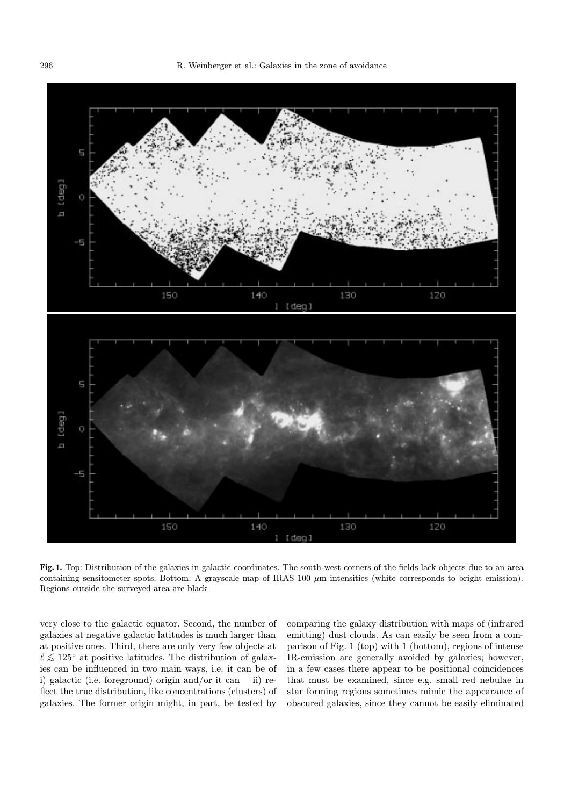

Fig. 1. Top: Distribution of the galaxies in galactic coordinates. The south-west corners of the fields lack objects due to an area containing sensitometer spots. Bottom: A grayscale map of IRAS 100  $\mu$ m intensities (white corresponds to bright emission). Regions outside the surveyed area are black

very close to the galactic equator. Second, the number of galaxies at negative galactic latitudes is much larger than at positive ones. Third, there are only very few objects at  $\ell \lesssim 125^{\circ}$  at positive latitudes. The distribution of galaxies can be influenced in two main ways, i.e. it can be of i) galactic (i.e. foreground) origin and/or it can ii) reflect the true distribution, like concentrations (clusters) of galaxies. The former origin might, in part, be tested by

comparing the galaxy distribution with maps of (infrared emitting) dust clouds. As can easily be seen from a comparison of Fig. 1 (top) with 1 (bottom), regions of intense IR-emission are generally avoided by galaxies; however, in a few cases there appear to be positional coincidences that must be examined, since e.g. small red nebulae in star forming regions sometimes mimic the appearance of obscured galaxies, since they cannot be easily eliminated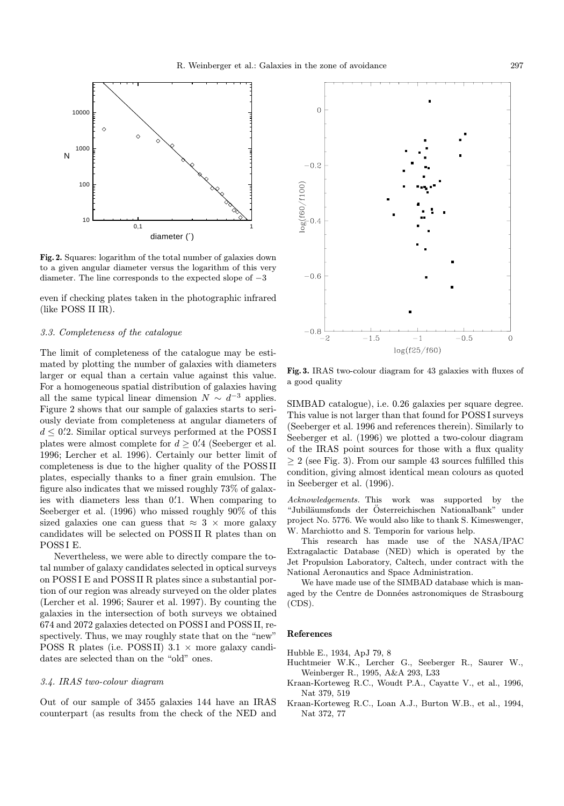

Fig. 2. Squares: logarithm of the total number of galaxies down to a given angular diameter versus the logarithm of this very diameter. The line corresponds to the expected slope of −3

even if checking plates taken in the photographic infrared (like POSS II IR).

#### 3.3. Completeness of the catalogue

The limit of completeness of the catalogue may be estimated by plotting the number of galaxies with diameters larger or equal than a certain value against this value. For a homogeneous spatial distribution of galaxies having all the same typical linear dimension  $N \sim d^{-3}$  applies. Figure 2 shows that our sample of galaxies starts to seriously deviate from completeness at angular diameters of  $d \leq 0.2$ . Similar optical surveys performed at the POSSI plates were almost complete for  $d \geq 0.4$  (Seeberger et al. 1996; Lercher et al. 1996). Certainly our better limit of completeness is due to the higher quality of the POSS II plates, especially thanks to a finer grain emulsion. The figure also indicates that we missed roughly 73% of galaxies with diameters less than 0.1. When comparing to Seeberger et al. (1996) who missed roughly 90% of this sized galaxies one can guess that  $\approx 3 \times$  more galaxy candidates will be selected on POSS II R plates than on POSS I E.

Nevertheless, we were able to directly compare the total number of galaxy candidates selected in optical surveys on POSS I E and POSS II R plates since a substantial portion of our region was already surveyed on the older plates (Lercher et al. 1996; Saurer et al. 1997). By counting the galaxies in the intersection of both surveys we obtained 674 and 2072 galaxies detected on POSS I and POSS II, respectively. Thus, we may roughly state that on the "new" POSS R plates (i.e. POSS II)  $3.1 \times$  more galaxy candidates are selected than on the "old" ones.

# 3.4. IRAS two-colour diagram

Out of our sample of 3455 galaxies 144 have an IRAS counterpart (as results from the check of the NED and



Fig. 3. IRAS two-colour diagram for 43 galaxies with fluxes of a good quality

SIMBAD catalogue), i.e. 0.26 galaxies per square degree. This value is not larger than that found for POSS I surveys (Seeberger et al. 1996 and references therein). Similarly to Seeberger et al. (1996) we plotted a two-colour diagram of the IRAS point sources for those with a flux quality  $\geq 2$  (see Fig. 3). From our sample 43 sources fulfilled this condition, giving almost identical mean colours as quoted in Seeberger et al. (1996).

Acknowledgements. This work was supported by the "Jubil¨aumsfonds der Osterreichischen Nationalbank" under ¨ project No. 5776. We would also like to thank S. Kimeswenger, W. Marchiotto and S. Temporin for various help.

This research has made use of the NASA/IPAC Extragalactic Database (NED) which is operated by the Jet Propulsion Laboratory, Caltech, under contract with the National Aeronautics and Space Administration.

We have made use of the SIMBAD database which is managed by the Centre de Données astronomiques de Strasbourg (CDS).

# References

Hubble E., 1934, ApJ 79, 8

- Huchtmeier W.K., Lercher G., Seeberger R., Saurer W., Weinberger R., 1995, A&A 293, L33
- Kraan-Korteweg R.C., Woudt P.A., Cayatte V., et al., 1996, Nat 379, 519
- Kraan-Korteweg R.C., Loan A.J., Burton W.B., et al., 1994, Nat 372, 77